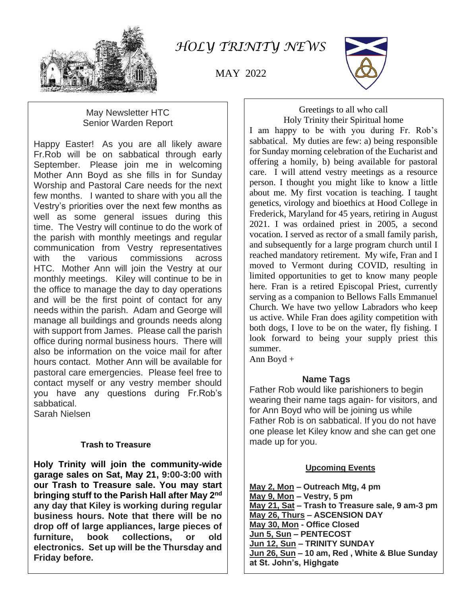

*HOLY TRINITY NEWS*

MAY 2022



### May Newsletter HTC Senior Warden Report

Happy Easter! As you are all likely aware Fr.Rob will be on sabbatical through early September. Please join me in welcoming Mother Ann Boyd as she fills in for Sunday Worship and Pastoral Care needs for the next few months. I wanted to share with you all the Vestry's priorities over the next few months as well as some general issues during this time. The Vestry will continue to do the work of the parish with monthly meetings and regular communication from Vestry representatives with the various commissions across HTC. Mother Ann will join the Vestry at our monthly meetings. Kiley will continue to be in the office to manage the day to day operations and will be the first point of contact for any needs within the parish. Adam and George will manage all buildings and grounds needs along with support from James. Please call the parish office during normal business hours. There will also be information on the voice mail for after hours contact. Mother Ann will be available for pastoral care emergencies. Please feel free to contact myself or any vestry member should you have any questions during Fr.Rob's sabbatical.

Sarah Nielsen

### **Trash to Treasure**

**Holy Trinity will join the community-wide garage sales on Sat, May 21, 9:00-3:00 with our Trash to Treasure sale. You may start bringing stuff to the Parish Hall after May 2nd any day that Kiley is working during regular business hours. Note that there will be no drop off of large appliances, large pieces of furniture, book collections, or old electronics. Set up will be the Thursday and Friday before.**

#### Greetings to all who call Holy Trinity their Spiritual home

I am happy to be with you during Fr. Rob's sabbatical. My duties are few: a) being responsible for Sunday morning celebration of the Eucharist and offering a homily, b) being available for pastoral care. I will attend vestry meetings as a resource person. I thought you might like to know a little about me. My first vocation is teaching. I taught genetics, virology and bioethics at Hood College in Frederick, Maryland for 45 years, retiring in August 2021. I was ordained priest in 2005, a second vocation. I served as rector of a small family parish, and subsequently for a large program church until I reached mandatory retirement. My wife, Fran and I moved to Vermont during COVID, resulting in limited opportunities to get to know many people here. Fran is a retired Episcopal Priest, currently serving as a companion to Bellows Falls Emmanuel Church. We have two yellow Labradors who keep us active. While Fran does agility competition with both dogs, I love to be on the water, fly fishing. I look forward to being your supply priest this summer.

Ann Boyd +

## **Name Tags**

Father Rob would like parishioners to begin wearing their name tags again- for visitors, and for Ann Boyd who will be joining us while Father Rob is on sabbatical. If you do not have one please let Kiley know and she can get one made up for you.

## **Upcoming Events**

**May 2, Mon – Outreach Mtg, 4 pm May 9, Mon – Vestry, 5 pm May 21, Sat – Trash to Treasure sale, 9 am-3 pm May 26, Thurs – ASCENSION DAY May 30, Mon - Office Closed Jun 5, Sun – PENTECOST Jun 12, Sun – TRINITY SUNDAY Jun 26, Sun – 10 am, Red , White & Blue Sunday at St. John's, Highgate**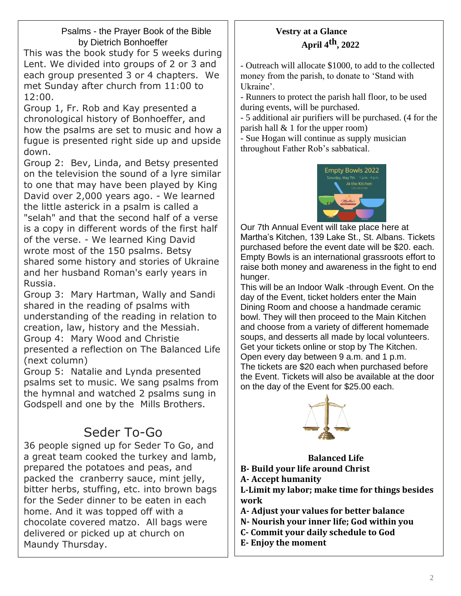## Psalms - the Prayer Book of the Bible by Dietrich Bonhoeffer

This was the book study for 5 weeks during Lent. We divided into groups of 2 or 3 and each group presented 3 or 4 chapters. We met Sunday after church from 11:00 to 12:00.

Group 1, Fr. Rob and Kay presented a chronological history of Bonhoeffer, and how the psalms are set to music and how a fugue is presented right side up and upside down.

Group 2: Bev, Linda, and Betsy presented on the television the sound of a lyre similar to one that may have been played by King David over 2,000 years ago. - We learned the little asterick in a psalm is called a "selah" and that the second half of a verse is a copy in different words of the first half of the verse. - We learned King David wrote most of the 150 psalms. Betsy shared some history and stories of Ukraine and her husband Roman's early years in Russia.

Group 3: Mary Hartman, Wally and Sandi shared in the reading of psalms with understanding of the reading in relation to creation, law, history and the Messiah. Group 4: Mary Wood and Christie presented a reflection on The Balanced Life (next column)

Group 5: Natalie and Lynda presented psalms set to music. We sang psalms from the hymnal and watched 2 psalms sung in Godspell and one by the Mills Brothers.

# Seder To-Go

36 people signed up for Seder To Go, and a great team cooked the turkey and lamb, prepared the potatoes and peas, and packed the cranberry sauce, mint jelly, bitter herbs, stuffing, etc. into brown bags for the Seder dinner to be eaten in each home. And it was topped off with a chocolate covered matzo. All bags were delivered or picked up at church on Maundy Thursday.

## **Vestry at a Glance April 4th, 2022**

- Outreach will allocate \$1000, to add to the collected money from the parish, to donate to 'Stand with Ukraine'.

- Runners to protect the parish hall floor, to be used during events, will be purchased.

- 5 additional air purifiers will be purchased. (4 for the parish hall  $\&$  1 for the upper room)

- Sue Hogan will continue as supply musician throughout Father Rob's sabbatical.



 Our 7th Annual Event will take place here at Martha's Kitchen, 139 Lake St., St. Albans. Tickets purchased before the event date will be \$20. each. Empty Bowls is an international grassroots effort to raise both money and awareness in the fight to end hunger.

This will be an Indoor Walk -through Event. On the day of the Event, ticket holders enter the Main Dining Room and choose a handmade ceramic bowl. They will then proceed to the Main Kitchen and choose from a variety of different homemade soups, and desserts all made by local volunteers. Get your tickets online or stop by The Kitchen. Open every day between 9 a.m. and 1 p.m. The tickets are \$20 each when purchased before the Event. Tickets will also be available at the door on the day of the Event for \$25.00 each.



 **Balanced Life B- Build your life around Christ A- Accept humanity L-Limit my labor; make time for things besides work A- Adjust your values for better balance N- Nourish your inner life; God within you C- Commit your daily schedule to God E- Enjoy the moment**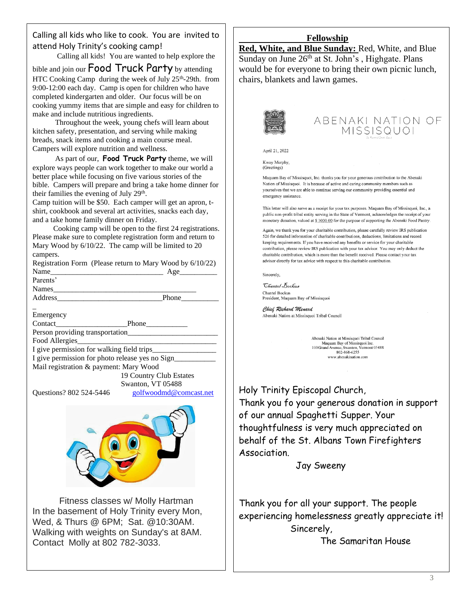Calling all kids who like to cook. You are invited to attend Holy Trinity's cooking camp!

Calling all kids! You are wanted to help explore the

bible and join our **Food Truck Party** by attending HTC Cooking Camp during the week of July 25<sup>th</sup>-29th. from 9:00-12:00 each day. Camp is open for children who have completed kindergarten and older. Our focus will be on cooking yummy items that are simple and easy for children to make and include nutritious ingredients.

 Throughout the week, young chefs will learn about kitchen safety, presentation, and serving while making breads, snack items and cooking a main course meal. Campers will explore nutrition and wellness.

 As part of our, **Food Truck Party** theme, we will explore ways people can work together to make our world a better place while focusing on five various stories of the bible. Campers will prepare and bring a take home dinner for their families the evening of July 29<sup>th</sup>.

Camp tuition will be \$50. Each camper will get an apron, tshirt, cookbook and several art activities, snacks each day, and a take home family dinner on Friday.

 Cooking camp will be open to the first 24 registrations. Please make sure to complete registration form and return to Mary Wood by 6/10/22. The camp will be limited to 20 campers.

Registration Form (Please return to Mary Wood by 6/10/22) Name\_\_\_\_\_\_\_\_\_\_\_\_\_\_\_\_\_\_\_\_\_\_\_\_\_\_\_\_\_\_ Age\_\_\_\_\_\_\_\_\_\_ Parents' Names

Address\_\_\_\_\_\_\_\_\_\_\_\_\_\_\_\_\_\_\_\_\_\_\_\_\_\_\_\_Phone\_\_\_\_\_\_\_\_\_\_

\_ Emergency

Contact\_\_\_\_\_\_\_\_\_\_\_\_\_\_\_\_\_\_\_Phone\_\_\_\_\_\_\_\_\_\_\_

Person providing transportation

Food Allergies

I give permission for walking field trips\_ I give permission for photo release yes no Sign\_\_\_\_\_\_\_\_\_\_\_\_\_\_\_\_\_\_\_\_\_\_\_\_\_\_\_\_\_\_\_\_\_\_

Mail registration & payment: Mary Wood 19 Country Club Estates

 Swanton, VT 05488 Questions? 802 524-5446 [golfwoodmd@comcast.net](mailto:golfwoodmd@comcast.net)



Fitness classes w/ Molly Hartman In the basement of Holy Trinity every Mon, Wed, & Thurs @ 6PM; Sat. @10:30AM. Walking with weights on Sunday's at 8AM. Contact Molly at 802 782-3033.

#### **Fellowship**

**Red, White, and Blue Sunday:** Red, White, and Blue Sunday on June  $26<sup>th</sup>$  at St. John's , Highgate. Plans would be for everyone to bring their own picnic lunch, chairs, blankets and lawn games.



## ABENAKI NATION OF MISSISQUOI

April 21, 2022

Kway Murphy, (Greetings)

Maguam Bay of Missisquoi. Inc. thanks you for your generous contribution to the Abenaki Nation of Missisquoi. It is because of active and caring community members such as yourselves that we are able to continue serving our community providing essential and emergency assistance.

This letter will also serve as a receipt for your tax purposes. Maquam Bay of Missisquoi, Inc., a public non-profit tribal entity serving in the State of Vermont, acknowledges the receipt of your monetary donation, valued at \$ 1000.00 for the purpose of supporting the Abenaki Food Pantry.

Again, we thank you for your charitable contribution, please carefully review IRS publication 526 for detailed information of charitable contributions, deductions, limitations and record keeping requirements. If you have received any benefits or service for your charitable contribution, please review IRS publication with your tax advisor. You may only deduct the charitable contribution, which is more than the benefit received. Please contact your tax advisor directly for tax advice with respect to this charitable contribution.

Sincerely,

*Chantel Bockus* Chantel Bockus President, Maquam Bay of Missisquoi

Chief Richard Menard Abenaki Nation at Missisquoi Tribal Council

> Abenaki Nation at Missisquoi Tribal Council Maquam Bay of Missisquoi Inc.<br>100 Grand Avenue, Swanton, Vermont 05488<br>802-868-6255 www.abenakination.com

Holy Trinity Episcopal Church, Thank you fo your generous donation in support of our annual Spaghetti Supper. Your thoughtfulness is very much appreciated on behalf of the St. Albans Town Firefighters Association.

Jay Sweeny

Thank you for all your support. The people experiencing homelessness greatly appreciate it! Sincerely,

The Samaritan House